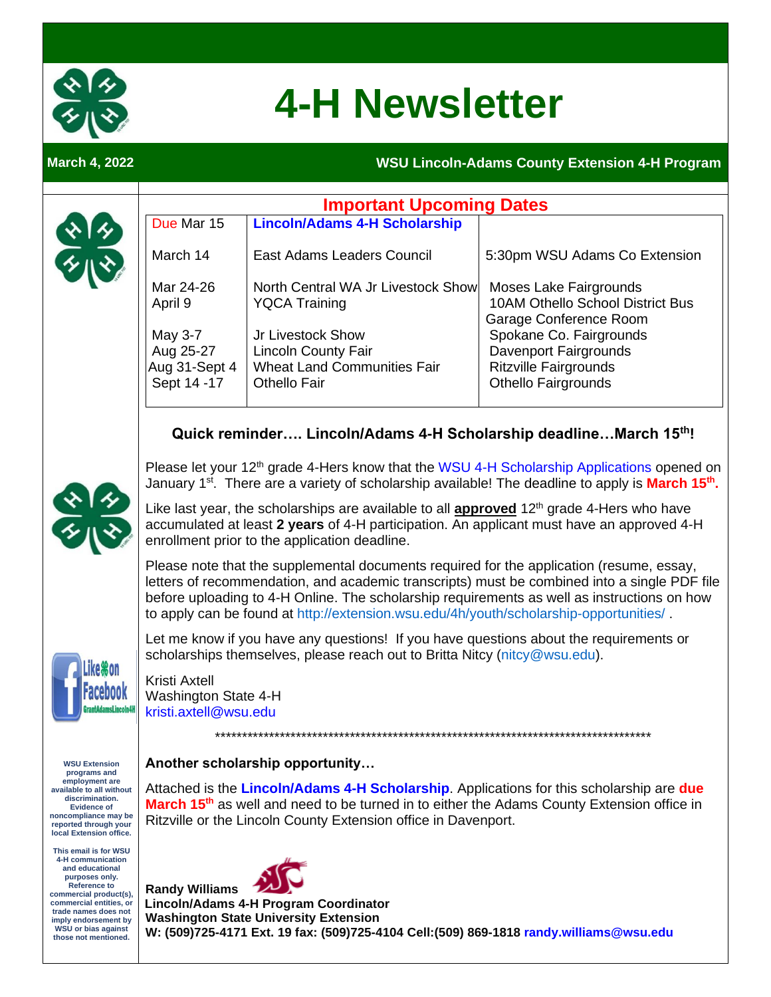

# **4-H Newsletter**

**March 4, 2022** 

 $\mathcal{L}$ 

#### **WSU Lincoln-Adams County Extension 4-H Program**

|                                                                                                                                                                                                                                                                   | <b>Important Upcoming Dates</b>                                                                                                                                                                                                                                                                                                                                                   |                                                                                                       |                                                                                                                |
|-------------------------------------------------------------------------------------------------------------------------------------------------------------------------------------------------------------------------------------------------------------------|-----------------------------------------------------------------------------------------------------------------------------------------------------------------------------------------------------------------------------------------------------------------------------------------------------------------------------------------------------------------------------------|-------------------------------------------------------------------------------------------------------|----------------------------------------------------------------------------------------------------------------|
|                                                                                                                                                                                                                                                                   | Due Mar 15                                                                                                                                                                                                                                                                                                                                                                        | <b>Lincoln/Adams 4-H Scholarship</b>                                                                  |                                                                                                                |
|                                                                                                                                                                                                                                                                   | March 14                                                                                                                                                                                                                                                                                                                                                                          | <b>East Adams Leaders Council</b>                                                                     | 5:30pm WSU Adams Co Extension                                                                                  |
|                                                                                                                                                                                                                                                                   | Mar 24-26<br>April 9                                                                                                                                                                                                                                                                                                                                                              | North Central WA Jr Livestock Show<br><b>YQCA Training</b>                                            | Moses Lake Fairgrounds<br><b>10AM Othello School District Bus</b><br>Garage Conference Room                    |
|                                                                                                                                                                                                                                                                   | May 3-7<br>Aug 25-27<br>Aug 31-Sept 4<br>Sept 14 -17                                                                                                                                                                                                                                                                                                                              | Jr Livestock Show<br>Lincoln County Fair<br><b>Wheat Land Communities Fair</b><br><b>Othello Fair</b> | Spokane Co. Fairgrounds<br>Davenport Fairgrounds<br><b>Ritzville Fairgrounds</b><br><b>Othello Fairgrounds</b> |
|                                                                                                                                                                                                                                                                   | Quick reminder Lincoln/Adams 4-H Scholarship deadlineMarch 15th!                                                                                                                                                                                                                                                                                                                  |                                                                                                       |                                                                                                                |
|                                                                                                                                                                                                                                                                   | Please let your 12 <sup>th</sup> grade 4-Hers know that the WSU 4-H Scholarship Applications opened on<br>January 1 <sup>st</sup> . There are a variety of scholarship available! The deadline to apply is <b>March 15<sup>th</sup>.</b>                                                                                                                                          |                                                                                                       |                                                                                                                |
|                                                                                                                                                                                                                                                                   | Like last year, the scholarships are available to all <b>approved</b> 12 <sup>th</sup> grade 4-Hers who have<br>accumulated at least 2 years of 4-H participation. An applicant must have an approved 4-H<br>enrollment prior to the application deadline.                                                                                                                        |                                                                                                       |                                                                                                                |
|                                                                                                                                                                                                                                                                   | Please note that the supplemental documents required for the application (resume, essay,<br>letters of recommendation, and academic transcripts) must be combined into a single PDF file<br>before uploading to 4-H Online. The scholarship requirements as well as instructions on how<br>to apply can be found at http://extension.wsu.edu/4h/youth/scholarship-opportunities/. |                                                                                                       |                                                                                                                |
|                                                                                                                                                                                                                                                                   | Let me know if you have any questions! If you have questions about the requirements or<br>scholarships themselves, please reach out to Britta Nitcy (nitcy@wsu.edu).                                                                                                                                                                                                              |                                                                                                       |                                                                                                                |
|                                                                                                                                                                                                                                                                   | Kristi Axtell<br>Washington State 4-H<br>kristi.axtell@wsu.edu                                                                                                                                                                                                                                                                                                                    |                                                                                                       |                                                                                                                |
|                                                                                                                                                                                                                                                                   |                                                                                                                                                                                                                                                                                                                                                                                   |                                                                                                       |                                                                                                                |
| <b>WSU Extension</b><br>programs and<br>employment are<br>available to all without<br>discrimination.<br><b>Evidence of</b><br>noncompliance may be<br>reported through your<br>local Extension office.                                                           | Another scholarship opportunity<br>Attached is the Lincoln/Adams 4-H Scholarship. Applications for this scholarship are due<br>March 15 <sup>th</sup> as well and need to be turned in to either the Adams County Extension office in<br>Ritzville or the Lincoln County Extension office in Davenport.                                                                           |                                                                                                       |                                                                                                                |
| This email is for WSU<br>4-H communication<br>and educational<br>purposes only.<br><b>Reference to</b><br>commercial product(s),<br>commercial entities, or<br>trade names does not<br>imply endorsement by<br><b>WSU or bias against</b><br>those not mentioned. | <b>Randy Williams</b><br><b>Lincoln/Adams 4-H Program Coordinator</b><br><b>Washington State University Extension</b><br>W: (509)725-4171 Ext. 19 fax: (509)725-4104 Cell:(509) 869-1818 randy.williams@wsu.edu                                                                                                                                                                   |                                                                                                       |                                                                                                                |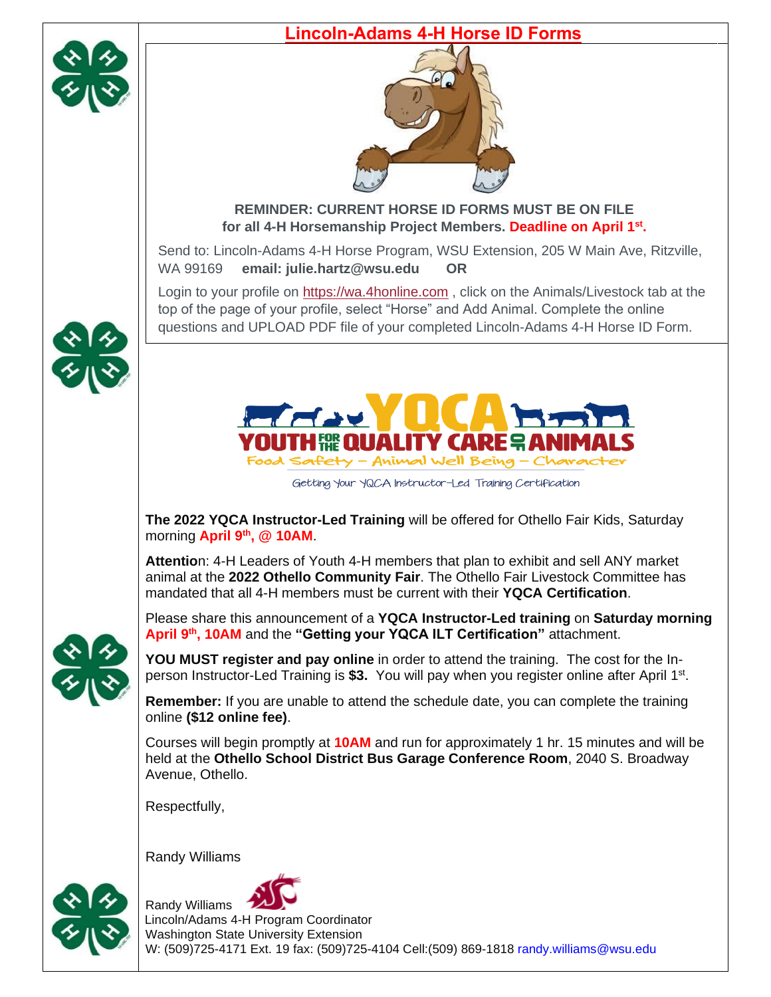

#### **Lincoln-Adams 4-H Horse ID Forms**



#### **REMINDER: CURRENT HORSE ID FORMS MUST BE ON FILE for all 4-H Horsemanship Project Members. Deadline on April 1st .**

Send to: Lincoln-Adams 4-H Horse Program, WSU Extension, 205 W Main Ave, Ritzville, WA 99169 **email: julie.hartz@wsu.edu OR**

Login to your profile on [https://wa.4honline.com](https://wa.4honline.com/) , click on the Animals/Livestock tab at the top of the page of your profile, select "Horse" and Add Animal. Complete the online questions and UPLOAD PDF file of your completed Lincoln-Adams 4-H Horse ID Form.



Getting Your YQCA Instructor-Led Training Certification

**The 2022 YQCA Instructor-Led Training** will be offered for Othello Fair Kids, Saturday morning **April 9th, @ 10AM**.

**Attentio**n: 4-H Leaders of Youth 4-H members that plan to exhibit and sell ANY market animal at the **2022 Othello Community Fair**. The Othello Fair Livestock Committee has mandated that all 4-H members must be current with their **YQCA Certification**.

Please share this announcement of a **YQCA Instructor-Led training** on **Saturday morning April 9th , 10AM** and the **"Getting your YQCA ILT Certification"** attachment.

**YOU MUST register and pay online** in order to attend the training. The cost for the Inperson Instructor-Led Training is \$3. You will pay when you register online after April 1<sup>st</sup>.

**Remember:** If you are unable to attend the schedule date, you can complete the training online **(\$12 online fee)**.

Courses will begin promptly at **10AM** and run for approximately 1 hr. 15 minutes and will be held at the **Othello School District Bus Garage Conference Room**, 2040 S. Broadway Avenue, Othello.

Respectfully,

Randy Williams





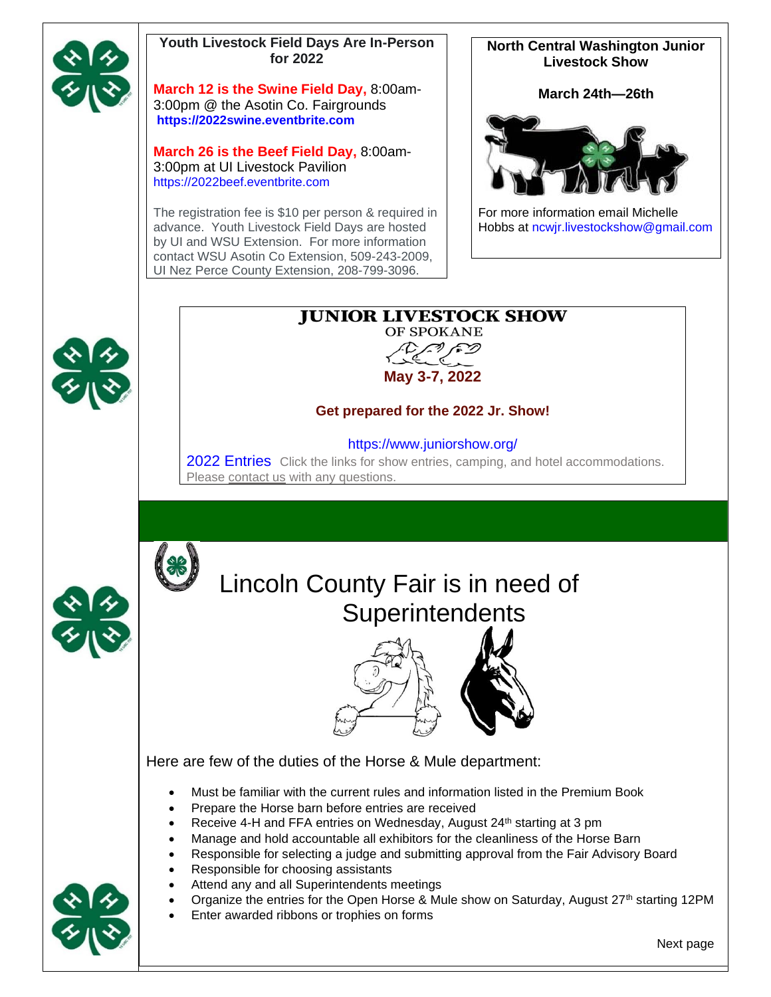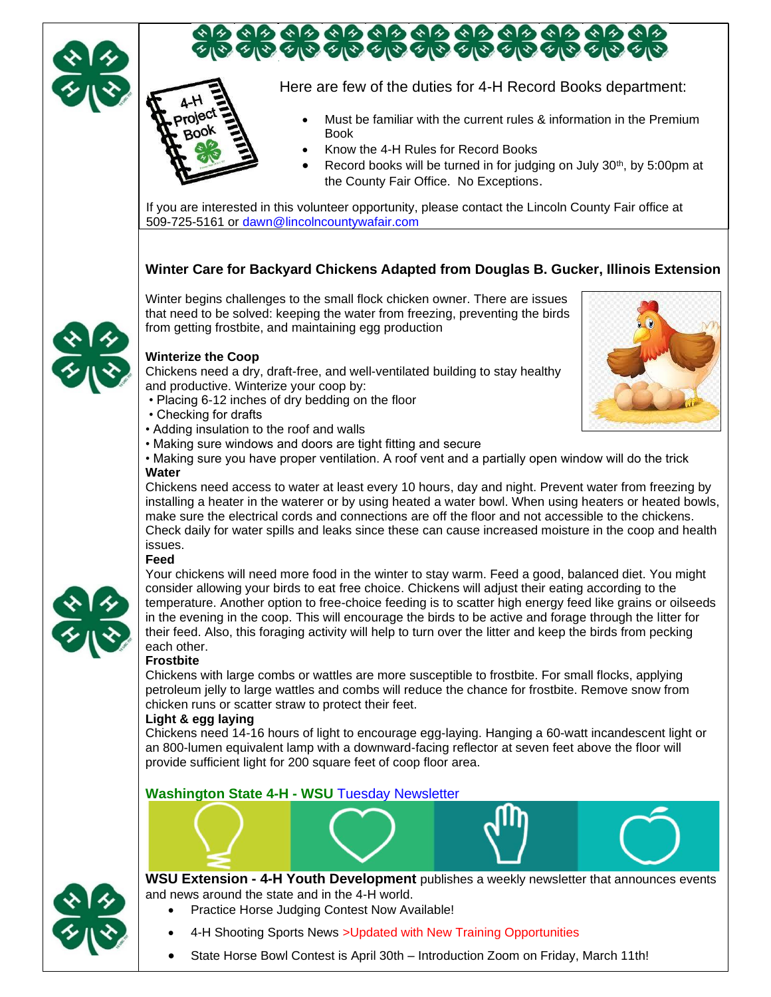

## <u>ବାର ବାର ବାର ବାର ବାର ବାର ବାର ବାର ବାର ବାର</u><br>ଏହା ତାର ତାର ତାର ତାର ତାର ତାର ତାର ତାର ତାର

Here are few of the duties for 4-H Record Books department:

- Must be familiar with the current rules & information in the Premium Book
- Know the 4-H Rules for Record Books
- Record books will be turned in for judging on July 30<sup>th</sup>, by 5:00pm at the County Fair Office. No Exceptions.

If you are interested in this volunteer opportunity, please contact the Lincoln County Fair office at 509-725-5161 or [dawn@lincolncountywafair.com](mailto:dawn@lincolncountywafair.com)

#### **Winter Care for Backyard Chickens Adapted from Douglas B. Gucker, Illinois Extension**

Winter begins challenges to the small flock chicken owner. There are issues that need to be solved: keeping the water from freezing, preventing the birds from getting frostbite, and maintaining egg production



Chickens need a dry, draft-free, and well-ventilated building to stay healthy and productive. Winterize your coop by:

- Placing 6-12 inches of dry bedding on the floor
- Checking for drafts
- Adding insulation to the roof and walls
- Making sure windows and doors are tight fitting and secure
- Making sure you have proper ventilation. A roof vent and a partially open window will do the trick **Water**

Chickens need access to water at least every 10 hours, day and night. Prevent water from freezing by installing a heater in the waterer or by using heated a water bowl. When using heaters or heated bowls, make sure the electrical cords and connections are off the floor and not accessible to the chickens. Check daily for water spills and leaks since these can cause increased moisture in the coop and health issues.

#### **Feed**



Your chickens will need more food in the winter to stay warm. Feed a good, balanced diet. You might consider allowing your birds to eat free choice. Chickens will adjust their eating according to the temperature. Another option to free-choice feeding is to scatter high energy feed like grains or oilseeds in the evening in the coop. This will encourage the birds to be active and forage through the litter for their feed. Also, this foraging activity will help to turn over the litter and keep the birds from pecking each other.

#### **Frostbite**

Chickens with large combs or wattles are more susceptible to frostbite. For small flocks, applying petroleum jelly to large wattles and combs will reduce the chance for frostbite. Remove snow from chicken runs or scatter straw to protect their feet.

#### **Light & egg laying**

Chickens need 14-16 hours of light to encourage egg-laying. Hanging a 60-watt incandescent light or an 800-lumen equivalent lamp with a downward-facing reflector at seven feet above the floor will provide sufficient light for 200 square feet of coop floor area.

#### **Washington State 4-H - WSU** [Tuesday Newsletter](http://extension.wsu.edu/4h/news/)



**WSU Extension - 4-H Youth Development** publishes a weekly newsletter that announces events and news around the state and in the 4-H world.

- Practice Horse Judging Contest Now Available!
- 4-H Shooting Sports News > Updated with New Training Opportunities
- State Horse Bowl Contest is April 30th Introduction Zoom on Friday, March 11th!

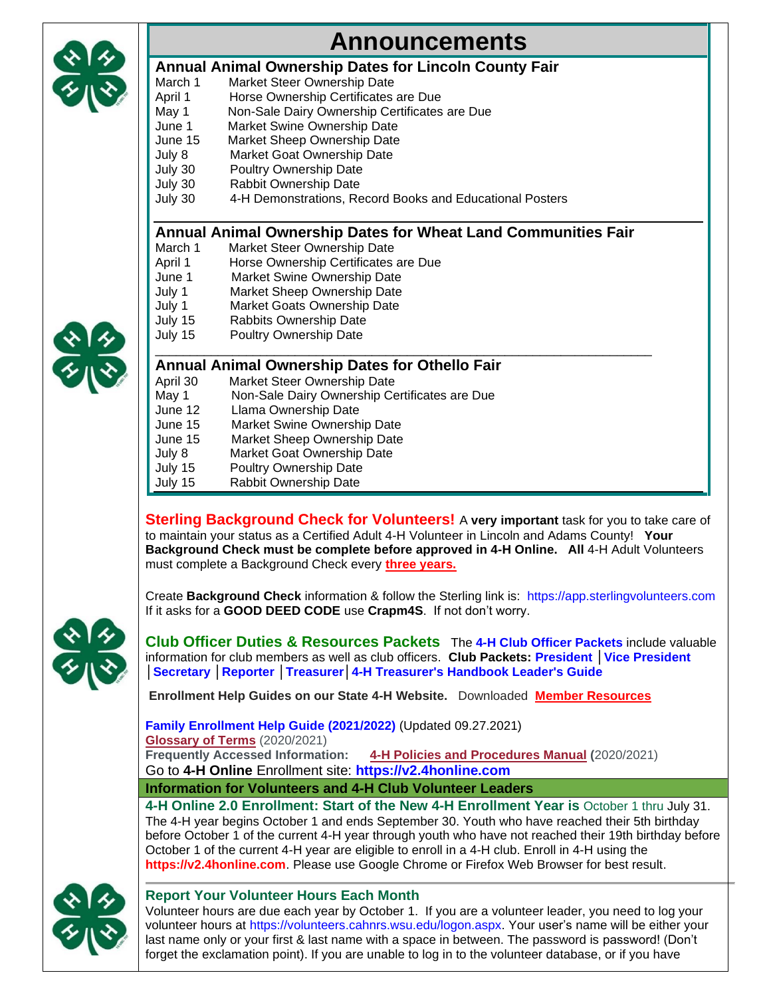

### **Announcements**

#### **Annual Animal Ownership Dates for Lincoln County Fair**

- March 1 Market Steer Ownership Date<br>April 1 Horse Ownership Certificates
- April 1 Horse Ownership Certificates are Due<br>May 1 Non-Sale Dairy Ownership Certificates
	- Non-Sale Dairy Ownership Certificates are Due
- June 1 Market Swine Ownership Date
- June 15 Market Sheep Ownership Date July 8 Market Goat Ownership Date
- July 30 Poultry Ownership Date
- July 30 Rabbit Ownership Date
- July 30 4-H Demonstrations, Record Books and Educational Posters

#### **Annual Animal Ownership Dates for Wheat Land Communities Fair**

- March 1 Market Steer Ownership Date
- April 1 Horse Ownership Certificates are Due
- June 1 Market Swine Ownership Date<br>July 1 Market Sheep Ownership Date
- Market Sheep Ownership Date
- July 1 Market Goats Ownership Date
- July 15 Rabbits Ownership Date
- July 15 Poultry Ownership Date



#### \_\_\_\_\_\_\_\_\_\_\_\_\_\_\_\_\_\_\_\_\_\_\_\_\_\_\_\_\_\_\_\_\_\_\_\_\_\_\_\_\_\_\_\_\_\_\_\_\_\_\_\_\_\_\_\_\_\_\_\_\_\_\_\_\_\_\_\_\_\_\_ **Annual Animal Ownership Dates for Othello Fair**

- April 30 Market Steer Ownership Date May 1 Non-Sale Dairy Ownership Certificates are Due June 12 Llama Ownership Date June 15 Market Swine Ownership Date June 15 Market Sheep Ownership Date July 8 Market Goat Ownership Date
- July 15 Poultry Ownership Date
- July 15 Rabbit Ownership Date
- 

**Sterling Background Check for Volunteers!** A **very important** task for you to take care of to maintain your status as a Certified Adult 4-H Volunteer in Lincoln and Adams County! **Your Background Check must be complete before approved in 4-H Online. All** 4-H Adult Volunteers must complete a Background Check every **three years.**

Create **Background Check** information & follow the Sterling link is: [https://app.sterlingvolunteers.com](https://app.sterlingvolunteers.com/) If it asks for a **GOOD DEED CODE** use **Crapm4S**. If not don't worry.



**Club Officer Duties & Resources Packets** The **[4-H Club Officer Packets](https://extension.wsu.edu/4h/for-clubs/)** include valuable information for club members as well as club officers. **Club Packets: [President](https://extension.wsu.edu/4h/documents/2017/11/4-h-club-packet-president.pdf/) [│Vice President](https://extension.wsu.edu/4h/documents/2017/11/4-h-club-packet-vice-president.pdf/) [│Secretary](https://extension.wsu.edu/4h/documents/2017/11/4-h-club-packet-secretary.pdf/) [│Reporter](https://extension.wsu.edu/4h/documents/2017/11/4-h-club-packet-reporter.pdf/) [│Treasurer](https://s3.wp.wsu.edu/uploads/sites/2082/2019/09/4-h-club-treasurers-book.pdf)[│4-H Treasurer's Handbook Leader's Guide](https://pubs.extension.wsu.edu/4h-leaders-guide-to-handling-funds-in-the-4h-youth-development-program)** 

**Enrollment Help Guides on our State 4-H Website.** Downloaded **[Member Resources](http://extension.wsu.edu/4h/member-resources/)**

**Family Enrollment Help Guide [\(2021/2022\)](https://s3.wp.wsu.edu/uploads/sites/2050/2021/02/Family-Enrollment-2.0_FINAL_02.18.21.pdf)** (Updated 09.27.2021) **[Glossary](https://s3.wp.wsu.edu/uploads/sites/2050/2021/09/Glossary-of-Terms.pdf) of Terms** (2020/2021) **Frequently Accessed Information: 4-H Policies and [Procedures](https://s3.wp.wsu.edu/uploads/sites/2050/2020/09/EM0758_4H-Policies-and-Procedures_FINAL_09.30.2020.pdf) Manual (**2020/2021) Go to **4-H Online** Enrollment site: **[https://v2.4honline.com](https://v2.4honline.com/)**

**Information for Volunteers and 4-H Club Volunteer Leaders**

**4-H Online 2.0 Enrollment: Start of the New 4-H Enrollment Year is** October 1 thru July 31. The 4-H year begins October 1 and ends September 30. Youth who have reached their 5th birthday before October 1 of the current 4-H year through youth who have not reached their 19th birthday before October 1 of the current 4-H year are eligible to enroll in a 4-H club. Enroll in 4-H using the **[https://v2.4honline.com](https://v2.4honline.com/)**. Please use Google Chrome or Firefox Web Browser for best result.



#### **Report Your Volunteer Hours Each Month**

Volunteer hours are due each year by October 1. If you are a volunteer leader, you need to log your volunteer hours at [https://volunteers.cahnrs.wsu.edu/logon.aspx.](https://volunteers.cahnrs.wsu.edu/logon.aspx) Your user's name will be either your last name only or your first & last name with a space in between. The password is password! (Don't forget the exclamation point). If you are unable to log in to the volunteer database, or if you have